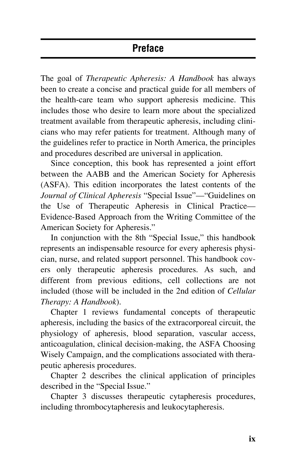## **Preface**

The goal of *Therapeutic Apheresis: A Handbook* has always been to create a concise and practical guide for all members of the health-care team who support apheresis medicine. This includes those who desire to learn more about the specialized treatment available from therapeutic apheresis, including clinicians who may refer patients for treatment. Although many of the guidelines refer to practice in North America, the principles and procedures described are universal in application.

Since conception, this book has represented a joint effort between the AABB and the American Society for Apheresis (ASFA). This edition incorporates the latest contents of the *Journal of Clinical Apheresis* "Special Issue"—"Guidelines on the Use of Therapeutic Apheresis in Clinical Practice— Evidence-Based Approach from the Writing Committee of the American Society for Apheresis."

In conjunction with the 8th "Special Issue," this handbook represents an indispensable resource for every apheresis physician, nurse, and related support personnel. This handbook covers only therapeutic apheresis procedures. As such, and different from previous editions, cell collections are not included (those will be included in the 2nd edition of *Cellular Therapy: A Handbook*).

Chapter 1 reviews fundamental concepts of therapeutic apheresis, including the basics of the extracorporeal circuit, the physiology of apheresis, blood separation, vascular access, anticoagulation, clinical decision-making, the ASFA Choosing Wisely Campaign, and the complications associated with therapeutic apheresis procedures.

Chapter 2 describes the clinical application of principles described in the "Special Issue."

Chapter 3 discusses therapeutic cytapheresis procedures, including thrombocytapheresis and leukocytapheresis.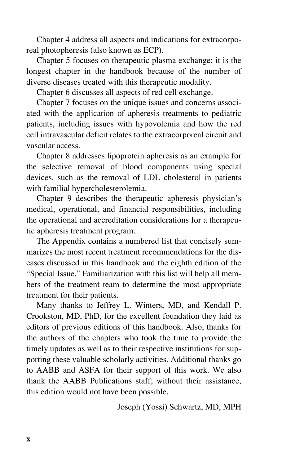Chapter 4 address all aspects and indications for extracorporeal photopheresis (also known as ECP).

Chapter 5 focuses on therapeutic plasma exchange; it is the longest chapter in the handbook because of the number of diverse diseases treated with this therapeutic modality.

Chapter 6 discusses all aspects of red cell exchange.

Chapter 7 focuses on the unique issues and concerns associated with the application of apheresis treatments to pediatric patients, including issues with hypovolemia and how the red cell intravascular deficit relates to the extracorporeal circuit and vascular access.

Chapter 8 addresses lipoprotein apheresis as an example for the selective removal of blood components using special devices, such as the removal of LDL cholesterol in patients with familial hypercholesterolemia.

Chapter 9 describes the therapeutic apheresis physician's medical, operational, and financial responsibilities, including the operational and accreditation considerations for a therapeutic apheresis treatment program.

The Appendix contains a numbered list that concisely summarizes the most recent treatment recommendations for the diseases discussed in this handbook and the eighth edition of the "Special Issue." Familiarization with this list will help all members of the treatment team to determine the most appropriate treatment for their patients.

Many thanks to Jeffrey L. Winters, MD, and Kendall P. Crookston, MD, PhD, for the excellent foundation they laid as editors of previous editions of this handbook. Also, thanks for the authors of the chapters who took the time to provide the timely updates as well as to their respective institutions for supporting these valuable scholarly activities. Additional thanks go to AABB and ASFA for their support of this work. We also thank the AABB Publications staff; without their assistance, this edition would not have been possible.

Joseph (Yossi) Schwartz, MD, MPH